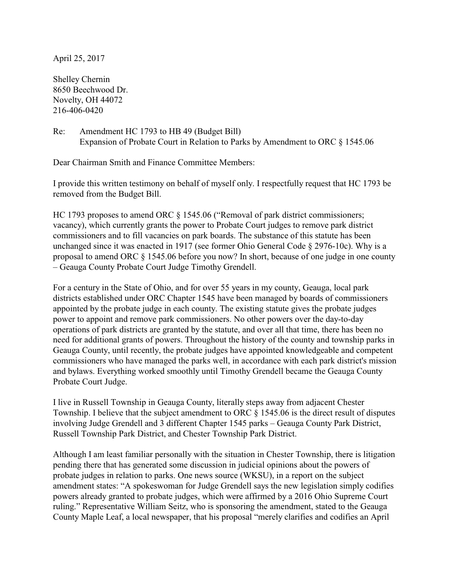April 25, 2017

Shelley Chernin 8650 Beechwood Dr. Novelty, OH 44072 216-406-0420

Re: Amendment HC 1793 to HB 49 (Budget Bill) Expansion of Probate Court in Relation to Parks by Amendment to ORC § 1545.06

Dear Chairman Smith and Finance Committee Members:

I provide this written testimony on behalf of myself only. I respectfully request that HC 1793 be removed from the Budget Bill.

HC 1793 proposes to amend ORC § 1545.06 ("Removal of park district commissioners; vacancy), which currently grants the power to Probate Court judges to remove park district commissioners and to fill vacancies on park boards. The substance of this statute has been unchanged since it was enacted in 1917 (see former Ohio General Code § 2976-10c). Why is a proposal to amend ORC § 1545.06 before you now? In short, because of one judge in one county – Geauga County Probate Court Judge Timothy Grendell.

For a century in the State of Ohio, and for over 55 years in my county, Geauga, local park districts established under ORC Chapter 1545 have been managed by boards of commissioners appointed by the probate judge in each county. The existing statute gives the probate judges power to appoint and remove park commissioners. No other powers over the day-to-day operations of park districts are granted by the statute, and over all that time, there has been no need for additional grants of powers. Throughout the history of the county and township parks in Geauga County, until recently, the probate judges have appointed knowledgeable and competent commissioners who have managed the parks well, in accordance with each park district's mission and bylaws. Everything worked smoothly until Timothy Grendell became the Geauga County Probate Court Judge.

I live in Russell Township in Geauga County, literally steps away from adjacent Chester Township. I believe that the subject amendment to ORC § 1545.06 is the direct result of disputes involving Judge Grendell and 3 different Chapter 1545 parks – Geauga County Park District, Russell Township Park District, and Chester Township Park District.

Although I am least familiar personally with the situation in Chester Township, there is litigation pending there that has generated some discussion in judicial opinions about the powers of probate judges in relation to parks. One news source (WKSU), in a report on the subject amendment states: "A spokeswoman for Judge Grendell says the new legislation simply codifies powers already granted to probate judges, which were affirmed by a 2016 Ohio Supreme Court ruling." Representative William Seitz, who is sponsoring the amendment, stated to the Geauga County Maple Leaf, a local newspaper, that his proposal "merely clarifies and codifies an April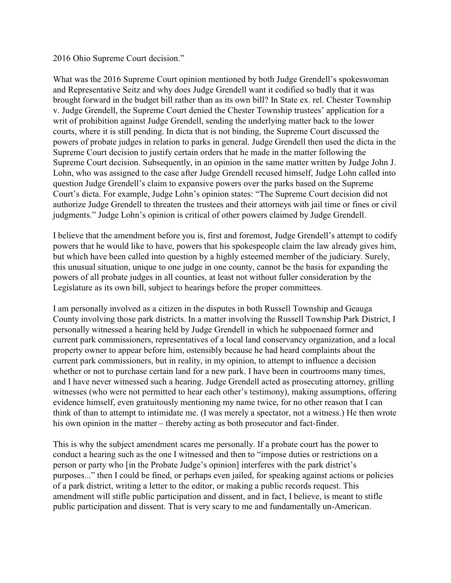## 2016 Ohio Supreme Court decision."

What was the 2016 Supreme Court opinion mentioned by both Judge Grendell's spokeswoman and Representative Seitz and why does Judge Grendell want it codified so badly that it was brought forward in the budget bill rather than as its own bill? In State ex. rel. Chester Township v. Judge Grendell, the Supreme Court denied the Chester Township trustees' application for a writ of prohibition against Judge Grendell, sending the underlying matter back to the lower courts, where it is still pending. In dicta that is not binding, the Supreme Court discussed the powers of probate judges in relation to parks in general. Judge Grendell then used the dicta in the Supreme Court decision to justify certain orders that he made in the matter following the Supreme Court decision. Subsequently, in an opinion in the same matter written by Judge John J. Lohn, who was assigned to the case after Judge Grendell recused himself, Judge Lohn called into question Judge Grendell's claim to expansive powers over the parks based on the Supreme Court's dicta. For example, Judge Lohn's opinion states: "The Supreme Court decision did not authorize Judge Grendell to threaten the trustees and their attorneys with jail time or fines or civil judgments." Judge Lohn's opinion is critical of other powers claimed by Judge Grendell.

I believe that the amendment before you is, first and foremost, Judge Grendell's attempt to codify powers that he would like to have, powers that his spokespeople claim the law already gives him, but which have been called into question by a highly esteemed member of the judiciary. Surely, this unusual situation, unique to one judge in one county, cannot be the basis for expanding the powers of all probate judges in all counties, at least not without fuller consideration by the Legislature as its own bill, subject to hearings before the proper committees.

I am personally involved as a citizen in the disputes in both Russell Township and Geauga County involving those park districts. In a matter involving the Russell Township Park District, I personally witnessed a hearing held by Judge Grendell in which he subpoenaed former and current park commissioners, representatives of a local land conservancy organization, and a local property owner to appear before him, ostensibly because he had heard complaints about the current park commissioners, but in reality, in my opinion, to attempt to influence a decision whether or not to purchase certain land for a new park. I have been in courtrooms many times, and I have never witnessed such a hearing. Judge Grendell acted as prosecuting attorney, grilling witnesses (who were not permitted to hear each other's testimony), making assumptions, offering evidence himself, even gratuitously mentioning my name twice, for no other reason that I can think of than to attempt to intimidate me. (I was merely a spectator, not a witness.) He then wrote his own opinion in the matter – thereby acting as both prosecutor and fact-finder.

This is why the subject amendment scares me personally. If a probate court has the power to conduct a hearing such as the one I witnessed and then to "impose duties or restrictions on a person or party who [in the Probate Judge's opinion] interferes with the park district's purposes..." then I could be fined, or perhaps even jailed, for speaking against actions or policies of a park district, writing a letter to the editor, or making a public records request. This amendment will stifle public participation and dissent, and in fact, I believe, is meant to stifle public participation and dissent. That is very scary to me and fundamentally un-American.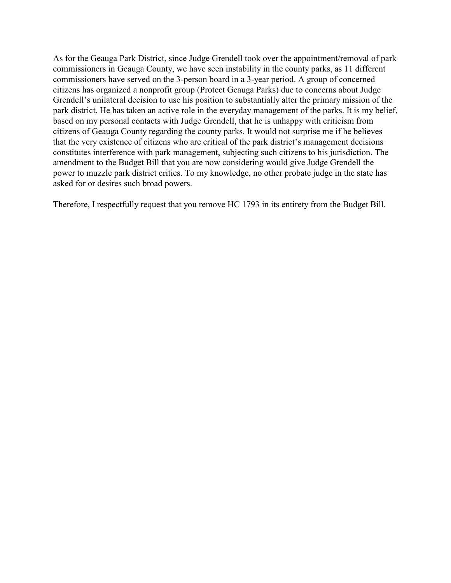As for the Geauga Park District, since Judge Grendell took over the appointment/removal of park commissioners in Geauga County, we have seen instability in the county parks, as 11 different commissioners have served on the 3-person board in a 3-year period. A group of concerned citizens has organized a nonprofit group (Protect Geauga Parks) due to concerns about Judge Grendell's unilateral decision to use his position to substantially alter the primary mission of the park district. He has taken an active role in the everyday management of the parks. It is my belief, based on my personal contacts with Judge Grendell, that he is unhappy with criticism from citizens of Geauga County regarding the county parks. It would not surprise me if he believes that the very existence of citizens who are critical of the park district's management decisions constitutes interference with park management, subjecting such citizens to his jurisdiction. The amendment to the Budget Bill that you are now considering would give Judge Grendell the power to muzzle park district critics. To my knowledge, no other probate judge in the state has asked for or desires such broad powers.

Therefore, I respectfully request that you remove HC 1793 in its entirety from the Budget Bill.